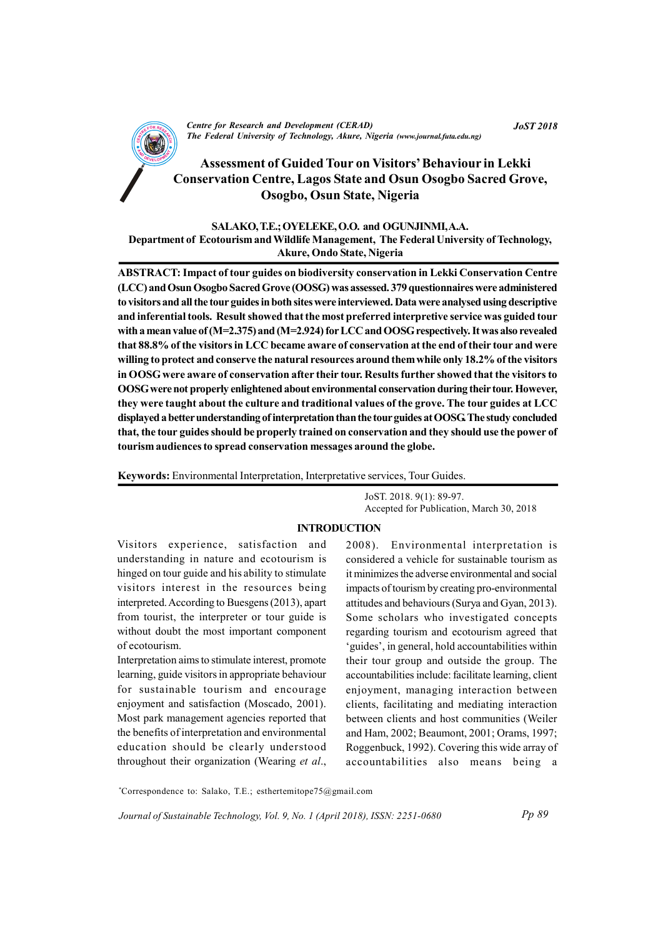

CENTRE FOR RESEARCH AND DEVELOPMENT (CENTRE)<br>The Federal University of Technology, Akure, Nigeria (www.journal.futa.edu.ng) Centre for Research and Development (CERAD)

# Assessment of Guided Tour on Visitors' Behaviour in Lekki Conservation Centre, Lagos State and Osun Osogbo Sacred Grove, Osogbo, Osun State, Nigeria

## SALAKO, T.E.; OYELEKE, O.O. and OGUNJINMI, A.A. Department of Ecotourism and Wildlife Management, The Federal University of Technology, Akure, Ondo State, Nigeria

ABSTRACT: Impact of tour guides on biodiversity conservation in Lekki Conservation Centre (LCC) and Osun Osogbo Sacred Grove (OOSG) was assessed. 379 questionnaires were administered to visitors and all the tour guides in both sites were interviewed. Data were analysed using descriptive and inferential tools. Result showed that the most preferred interpretive service was guided tour with a mean value of (M=2.375) and (M=2.924) for LCC and OOSG respectively. It was also revealed that 88.8% of the visitors in LCC became aware of conservation at the end of their tour and were willing to protect and conserve the natural resources around them while only 18.2% of the visitors in OOSG were aware of conservation after their tour. Results further showed that the visitors to OOSG were not properly enlightened about environmental conservation during their tour. However, they were taught about the culture and traditional values of the grove. The tour guides at LCC displayed a better understanding of interpretation than the tour guides at OOSG. The study concluded that, the tour guides should be properly trained on conservation and they should use the power of tourism audiences to spread conservation messages around the globe.

Keywords: Environmental Interpretation, Interpretative services, Tour Guides.

JoST. 2018. 9(1): 89-97. Accepted for Publication, March 30, 2018

#### INTRODUCTION

Visitors experience, satisfaction and understanding in nature and ecotourism is hinged on tour guide and his ability to stimulate visitors interest in the resources being interpreted. According to Buesgens (2013), apart from tourist, the interpreter or tour guide is without doubt the most important component of ecotourism.

Interpretation aims to stimulate interest, promote learning, guide visitors in appropriate behaviour for sustainable tourism and encourage enjoyment and satisfaction (Moscado, 2001). Most park management agencies reported that the benefits of interpretation and environmental education should be clearly understood throughout their organization (Wearing et al.,

2008). Environmental interpretation is considered a vehicle for sustainable tourism as it minimizes the adverse environmental and social impacts of tourism by creating pro-environmental attitudes and behaviours (Surya and Gyan, 2013). Some scholars who investigated concepts regarding tourism and ecotourism agreed that 'guides', in general, hold accountabilities within their tour group and outside the group. The accountabilities include: facilitate learning, client enjoyment, managing interaction between clients, facilitating and mediating interaction between clients and host communities (Weiler and Ham, 2002; Beaumont, 2001; Orams, 1997; Roggenbuck, 1992). Covering this wide array of accountabilities also means being a

\*Correspondence to: Salako, T.E.; esthertemitope75@gmail.com

Journal of Sustainable Technology, Vol. 9, No. 1 (April 2018), ISSN: 2251-0680

JoST 2018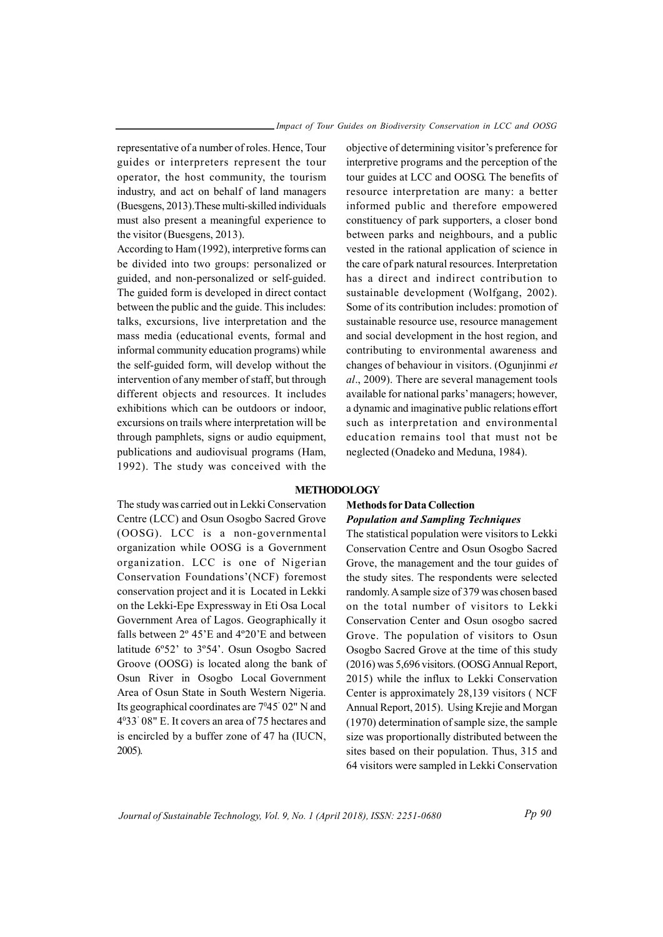representative of a number of roles. Hence, Tour guides or interpreters represent the tour operator, the host community, the tourism industry, and act on behalf of land managers (Buesgens, 2013).These multi-skilled individuals must also present a meaningful experience to the visitor (Buesgens, 2013).

According to Ham (1992), interpretive forms can be divided into two groups: personalized or guided, and non-personalized or self-guided. The guided form is developed in direct contact between the public and the guide. This includes: talks, excursions, live interpretation and the mass media (educational events, formal and informal community education programs) while the self-guided form, will develop without the intervention of any member of staff, but through different objects and resources. It includes exhibitions which can be outdoors or indoor, excursions on trails where interpretation will be through pamphlets, signs or audio equipment, publications and audiovisual programs (Ham, 1992). The study was conceived with the

objective of determining visitor's preference for interpretive programs and the perception of the tour guides at LCC and OOSG. The benefits of resource interpretation are many: a better informed public and therefore empowered constituency of park supporters, a closer bond between parks and neighbours, and a public vested in the rational application of science in the care of park natural resources. Interpretation has a direct and indirect contribution to sustainable development (Wolfgang, 2002). Some of its contribution includes: promotion of sustainable resource use, resource management and social development in the host region, and contributing to environmental awareness and changes of behaviour in visitors. (Ogunjinmi et al., 2009). There are several management tools available for national parks' managers; however, a dynamic and imaginative public relations effort such as interpretation and environmental education remains tool that must not be neglected (Onadeko and Meduna, 1984).

#### METHODOLOGY

The study was carried out in Lekki Conservation Centre (LCC) and Osun Osogbo Sacred Grove (OOSG). LCC is a non-governmental organization while OOSG is a Government organization. LCC is one of Nigerian Conservation Foundations'(NCF) foremost conservation project and it is Located in Lekki on the Lekki-Epe Expressway in Eti Osa Local Government Area of Lagos. Geographically it falls between 2º 45'E and 4º20'E and between latitude 6º52' to 3º54'. Osun Osogbo Sacred Groove (OOSG) is located along the bank of Osun River in Osogbo Local Government Area of Osun State in South Western Nigeria. Its geographical coordinates are 7°45' 02" N and 4 <sup>0</sup>33' 08" E. It covers an area of 75 hectares and is encircled by a buffer zone of 47 ha (IUCN, 2005).

## Methods for Data Collection Population and Sampling Techniques

The statistical population were visitors to Lekki Conservation Centre and Osun Osogbo Sacred Grove, the management and the tour guides of the study sites. The respondents were selected randomly. A sample size of 379 was chosen based on the total number of visitors to Lekki Conservation Center and Osun osogbo sacred Grove. The population of visitors to Osun Osogbo Sacred Grove at the time of this study (2016) was 5,696 visitors. (OOSG Annual Report, 2015) while the influx to Lekki Conservation Center is approximately 28,139 visitors ( NCF Annual Report, 2015). Using Krejie and Morgan (1970) determination of sample size, the sample size was proportionally distributed between the sites based on their population. Thus, 315 and 64 visitors were sampled in Lekki Conservation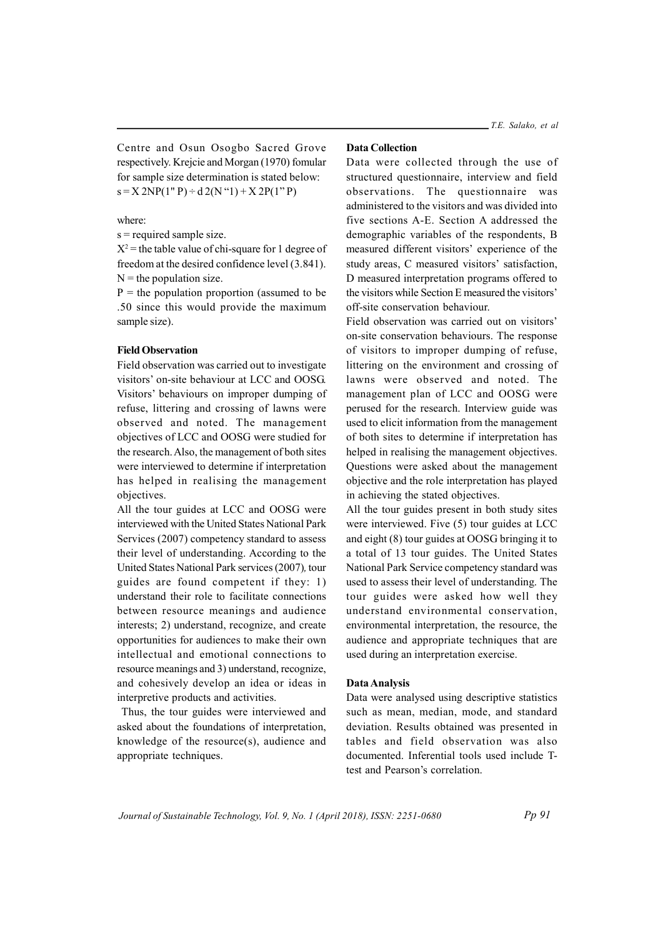Centre and Osun Osogbo Sacred Grove respectively. Krejcie and Morgan (1970) fomular for sample size determination is stated below:  $s = X 2NP(1" P) \div d 2(N" 1) + X 2P(1" P)$ 

#### where:

s = required sample size.

 $X^2$  = the table value of chi-square for 1 degree of freedom at the desired confidence level (3.841).  $N =$  the population size.

 $P =$  the population proportion (assumed to be .50 since this would provide the maximum sample size).

## Field Observation

Field observation was carried out to investigate visitors' on-site behaviour at LCC and OOSG. Visitors' behaviours on improper dumping of refuse, littering and crossing of lawns were observed and noted. The management objectives of LCC and OOSG were studied for the research. Also, the management of both sites were interviewed to determine if interpretation has helped in realising the management objectives.

All the tour guides at LCC and OOSG were interviewed with the United States National Park Services (2007) competency standard to assess their level of understanding. According to the United States National Park services (2007), tour guides are found competent if they: 1) understand their role to facilitate connections between resource meanings and audience interests; 2) understand, recognize, and create opportunities for audiences to make their own intellectual and emotional connections to resource meanings and 3) understand, recognize, and cohesively develop an idea or ideas in interpretive products and activities.

 Thus, the tour guides were interviewed and asked about the foundations of interpretation, knowledge of the resource(s), audience and appropriate techniques.

### Data Collection

Data were collected through the use of structured questionnaire, interview and field observations. The questionnaire was administered to the visitors and was divided into five sections A-E. Section A addressed the demographic variables of the respondents, B measured different visitors' experience of the study areas, C measured visitors' satisfaction, D measured interpretation programs offered to the visitors while Section E measured the visitors' off-site conservation behaviour.

Field observation was carried out on visitors' on-site conservation behaviours. The response of visitors to improper dumping of refuse, littering on the environment and crossing of lawns were observed and noted. The management plan of LCC and OOSG were perused for the research. Interview guide was used to elicit information from the management of both sites to determine if interpretation has helped in realising the management objectives. Questions were asked about the management objective and the role interpretation has played in achieving the stated objectives.

All the tour guides present in both study sites were interviewed. Five (5) tour guides at LCC and eight (8) tour guides at OOSG bringing it to a total of 13 tour guides. The United States National Park Service competency standard was used to assess their level of understanding. The tour guides were asked how well they understand environmental conservation, environmental interpretation, the resource, the audience and appropriate techniques that are used during an interpretation exercise.

#### Data Analysis

Data were analysed using descriptive statistics such as mean, median, mode, and standard deviation. Results obtained was presented in tables and field observation was also documented. Inferential tools used include Ttest and Pearson's correlation.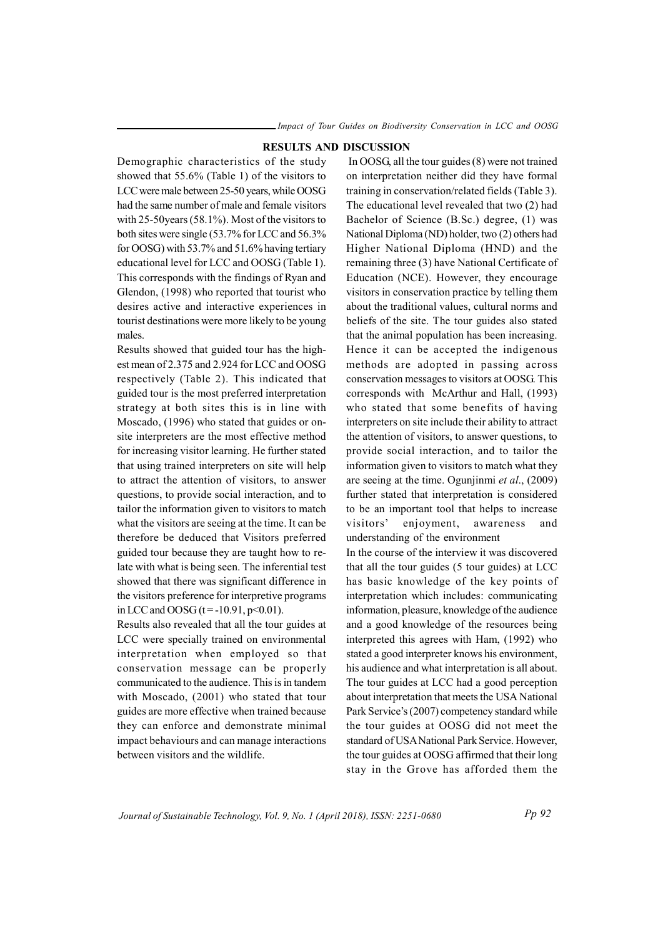#### RESULTS AND DISCUSSION

Demographic characteristics of the study showed that 55.6% (Table 1) of the visitors to LCC were male between 25-50 years, while OOSG had the same number of male and female visitors with 25-50years (58.1%). Most of the visitors to both sites were single (53.7% for LCC and 56.3% for OOSG) with 53.7% and 51.6% having tertiary educational level for LCC and OOSG (Table 1). This corresponds with the findings of Ryan and Glendon, (1998) who reported that tourist who desires active and interactive experiences in tourist destinations were more likely to be young males.

Results showed that guided tour has the highest mean of 2.375 and 2.924 for LCC and OOSG respectively (Table 2). This indicated that guided tour is the most preferred interpretation strategy at both sites this is in line with Moscado, (1996) who stated that guides or onsite interpreters are the most effective method for increasing visitor learning. He further stated that using trained interpreters on site will help to attract the attention of visitors, to answer questions, to provide social interaction, and to tailor the information given to visitors to match what the visitors are seeing at the time. It can be therefore be deduced that Visitors preferred guided tour because they are taught how to relate with what is being seen. The inferential test showed that there was significant difference in the visitors preference for interpretive programs in LCC and OOSG ( $t = -10.91$ ,  $p < 0.01$ ).

Results also revealed that all the tour guides at LCC were specially trained on environmental interpretation when employed so that conservation message can be properly communicated to the audience. This is in tandem with Moscado, (2001) who stated that tour guides are more effective when trained because they can enforce and demonstrate minimal impact behaviours and can manage interactions between visitors and the wildlife.

In OOSG, all the tour guides (8) were not trained on interpretation neither did they have formal training in conservation/related fields (Table 3). The educational level revealed that two (2) had Bachelor of Science (B.Sc.) degree, (1) was National Diploma (ND) holder, two (2) others had Higher National Diploma (HND) and the remaining three (3) have National Certificate of Education (NCE). However, they encourage visitors in conservation practice by telling them about the traditional values, cultural norms and beliefs of the site. The tour guides also stated that the animal population has been increasing. Hence it can be accepted the indigenous methods are adopted in passing across conservation messages to visitors at OOSG. This corresponds with McArthur and Hall, (1993) who stated that some benefits of having interpreters on site include their ability to attract the attention of visitors, to answer questions, to provide social interaction, and to tailor the information given to visitors to match what they are seeing at the time. Ogunjinmi et al., (2009) further stated that interpretation is considered to be an important tool that helps to increase visitors' enjoyment, awareness and understanding of the environment

In the course of the interview it was discovered that all the tour guides (5 tour guides) at LCC has basic knowledge of the key points of interpretation which includes: communicating information, pleasure, knowledge of the audience and a good knowledge of the resources being interpreted this agrees with Ham, (1992) who stated a good interpreter knows his environment, his audience and what interpretation is all about. The tour guides at LCC had a good perception about interpretation that meets the USA National Park Service's (2007) competency standard while the tour guides at OOSG did not meet the standard of USA National Park Service. However, the tour guides at OOSG affirmed that their long stay in the Grove has afforded them the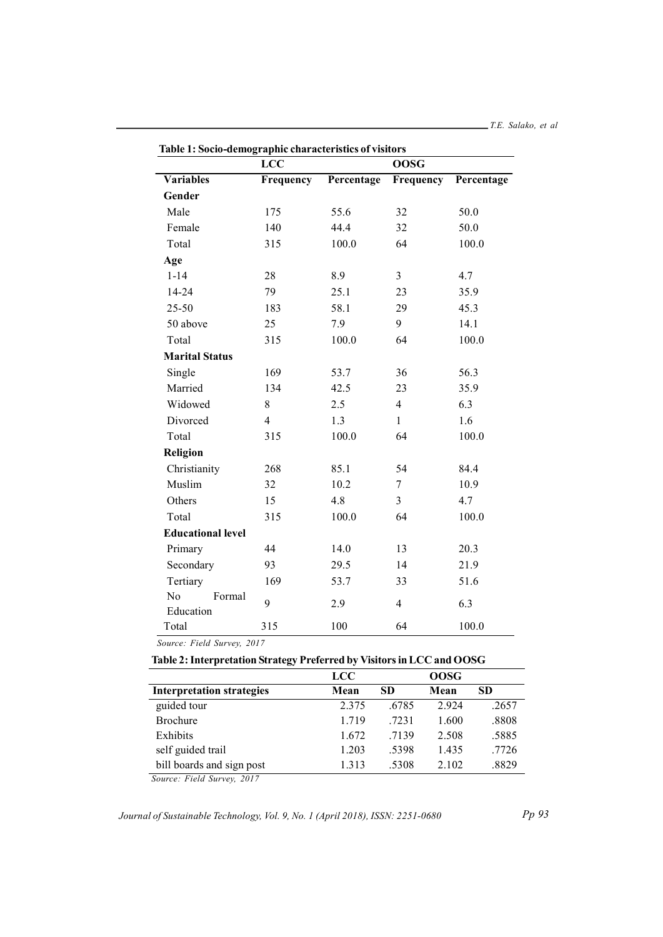|                           | Table 1. Socio-definegi apine characteristics of visitors<br><b>LCC</b><br><b>OOSG</b> |            |                |            |  |
|---------------------------|----------------------------------------------------------------------------------------|------------|----------------|------------|--|
| <b>Variables</b>          | Frequency                                                                              | Percentage | Frequency      | Percentage |  |
| Gender                    |                                                                                        |            |                |            |  |
| Male                      | 175                                                                                    | 55.6       | 32             | 50.0       |  |
| Female                    | 140                                                                                    | 44.4       | 32             | 50.0       |  |
| Total                     | 315                                                                                    | 100.0      | 64             | 100.0      |  |
| Age                       |                                                                                        |            |                |            |  |
| $1 - 14$                  | 28                                                                                     | 8.9        | $\overline{3}$ | 4.7        |  |
| $14 - 24$                 | 79                                                                                     | 25.1       | 23             | 35.9       |  |
| $25 - 50$                 | 183                                                                                    | 58.1       | 29             | 45.3       |  |
| 50 above                  | 25                                                                                     | 7.9        | 9              | 14.1       |  |
| Total                     | 315                                                                                    | 100.0      | 64             | 100.0      |  |
| <b>Marital Status</b>     |                                                                                        |            |                |            |  |
| Single                    | 169                                                                                    | 53.7       | 36             | 56.3       |  |
| Married                   | 134                                                                                    | 42.5       | 23             | 35.9       |  |
| Widowed                   | $8\,$                                                                                  | 2.5        | $\overline{4}$ | 6.3        |  |
| Divorced                  | $\overline{4}$                                                                         | 1.3        | $\mathbf{1}$   | 1.6        |  |
| Total                     | 315                                                                                    | 100.0      | 64             | 100.0      |  |
| Religion                  |                                                                                        |            |                |            |  |
| Christianity              | 268                                                                                    | 85.1       | 54             | 84.4       |  |
| Muslim                    | 32                                                                                     | 10.2       | $\tau$         | 10.9       |  |
| Others                    | 15                                                                                     | 4.8        | $\overline{3}$ | 4.7        |  |
| Total                     | 315                                                                                    | 100.0      | 64             | 100.0      |  |
| <b>Educational level</b>  |                                                                                        |            |                |            |  |
| Primary                   | 44                                                                                     | 14.0       | 13             | 20.3       |  |
| Secondary                 | 93                                                                                     | 29.5       | 14             | 21.9       |  |
| Tertiary                  | 169                                                                                    | 53.7       | 33             | 51.6       |  |
| No<br>Formal<br>Education | 9                                                                                      | 2.9        | $\overline{4}$ | 6.3        |  |
| Total                     | 315                                                                                    | 100        | 64             | 100.0      |  |

| Table 1: Socio-demographic characteristics of visitors |  |  |  |  |  |  |
|--------------------------------------------------------|--|--|--|--|--|--|
|--------------------------------------------------------|--|--|--|--|--|--|

Source: Field Survey, 2017

## Table 2: Interpretation Strategy Preferred by Visitors in LCC and OOSG

| LCC   |           | <b>OOSG</b> |           |
|-------|-----------|-------------|-----------|
| Mean  | <b>SD</b> | Mean        | <b>SD</b> |
| 2.375 | .6785     | 2.924       | .2657     |
| 1.719 | .7231     | 1.600       | .8808     |
| 1.672 | .7139     | 2.508       | .5885     |
| 1.203 | .5398     | 1.435       | .7726     |
| 1.313 | .5308     | 2.102       | .8829     |
|       |           |             |           |

Source: Field Survey, 2017

Journal of Sustainable Technology, Vol. 9, No. 1 (April 2018), ISSN: 2251-0680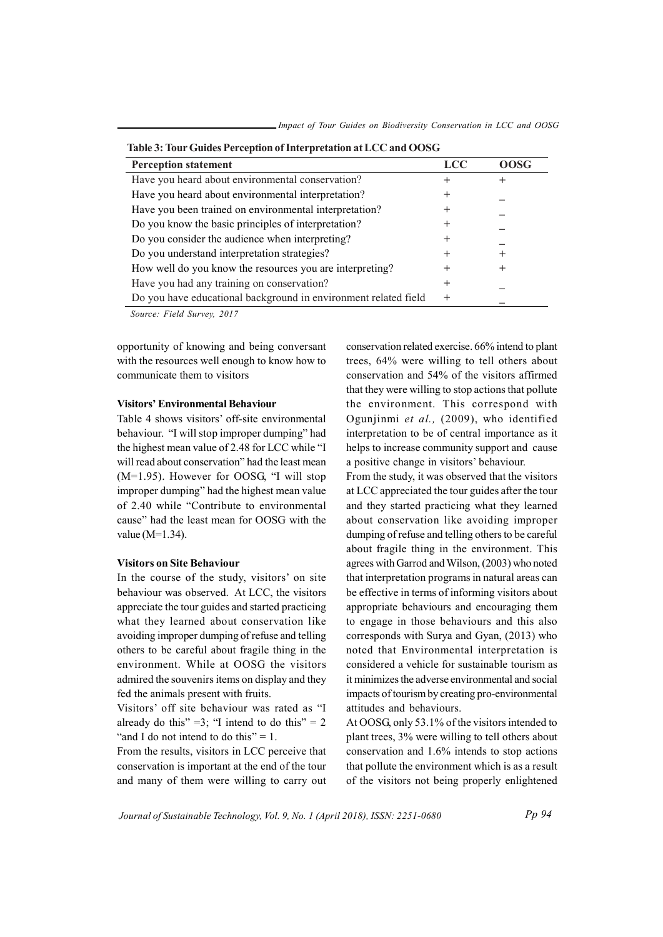| <b>Perception statement</b>                                     | <b>LCC</b> | <b>OOSG</b> |
|-----------------------------------------------------------------|------------|-------------|
| Have you heard about environmental conservation?                |            |             |
| Have you heard about environmental interpretation?              |            |             |
| Have you been trained on environmental interpretation?          |            |             |
| Do you know the basic principles of interpretation?             |            |             |
| Do you consider the audience when interpreting?                 |            |             |
| Do you understand interpretation strategies?                    |            |             |
| How well do you know the resources you are interpreting?        |            | +           |
| Have you had any training on conservation?                      | +          |             |
| Do you have educational background in environment related field | $\pm$      |             |

Source: Field Survey, 2017

opportunity of knowing and being conversant with the resources well enough to know how to communicate them to visitors

#### Visitors' Environmental Behaviour

Table 4 shows visitors' off-site environmental behaviour. "I will stop improper dumping" had the highest mean value of 2.48 for LCC while "I will read about conservation" had the least mean (M=1.95). However for OOSG, "I will stop improper dumping" had the highest mean value of 2.40 while "Contribute to environmental cause" had the least mean for OOSG with the value (M=1.34).

#### Visitors on Site Behaviour

In the course of the study, visitors' on site behaviour was observed. At LCC, the visitors appreciate the tour guides and started practicing what they learned about conservation like avoiding improper dumping of refuse and telling others to be careful about fragile thing in the environment. While at OOSG the visitors admired the souvenirs items on display and they fed the animals present with fruits.

Visitors' off site behaviour was rated as "I already do this" = 3; "I intend to do this" =  $2$ "and I do not intend to do this"  $= 1$ .

From the results, visitors in LCC perceive that conservation is important at the end of the tour and many of them were willing to carry out

conservation related exercise. 66% intend to plant trees, 64% were willing to tell others about conservation and 54% of the visitors affirmed that they were willing to stop actions that pollute the environment. This correspond with Ogunjinmi et al., (2009), who identified interpretation to be of central importance as it helps to increase community support and cause a positive change in visitors' behaviour.

From the study, it was observed that the visitors at LCC appreciated the tour guides after the tour and they started practicing what they learned about conservation like avoiding improper dumping of refuse and telling others to be careful about fragile thing in the environment. This agrees with Garrod and Wilson, (2003) who noted that interpretation programs in natural areas can be effective in terms of informing visitors about appropriate behaviours and encouraging them to engage in those behaviours and this also corresponds with Surya and Gyan, (2013) who noted that Environmental interpretation is considered a vehicle for sustainable tourism as it minimizes the adverse environmental and social impacts of tourism by creating pro-environmental attitudes and behaviours.

At OOSG, only 53.1% of the visitors intended to plant trees, 3% were willing to tell others about conservation and 1.6% intends to stop actions that pollute the environment which is as a result of the visitors not being properly enlightened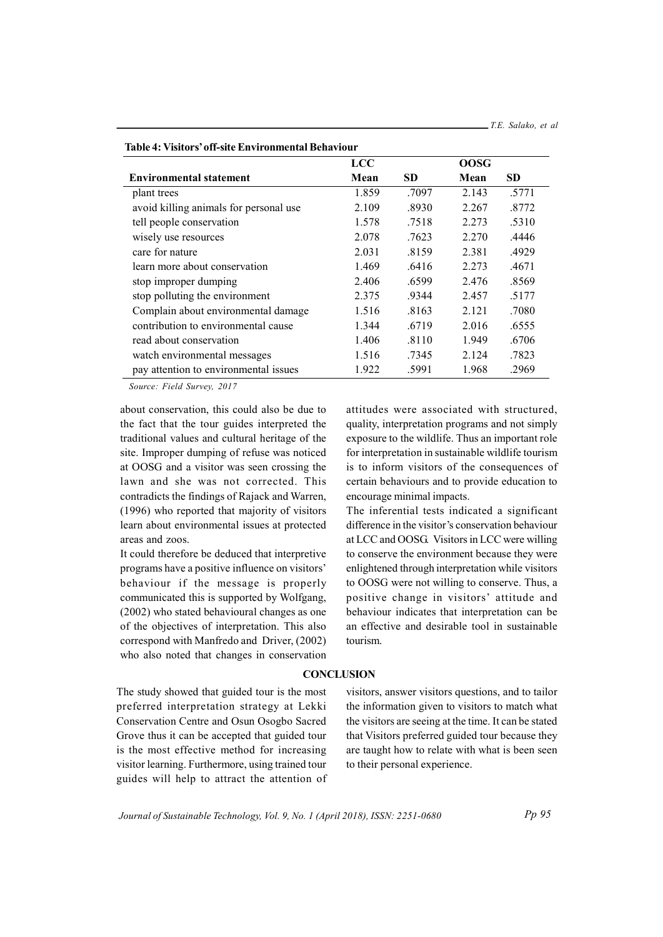|                                        | <b>LCC</b> |           | <b>OOSG</b> |           |
|----------------------------------------|------------|-----------|-------------|-----------|
| <b>Environmental statement</b>         | Mean       | <b>SD</b> | Mean        | <b>SD</b> |
| plant trees                            | 1.859      | .7097     | 2.143       | .5771     |
| avoid killing animals for personal use | 2.109      | .8930     | 2.267       | .8772     |
| tell people conservation               | 1.578      | .7518     | 2.273       | .5310     |
| wisely use resources                   | 2.078      | .7623     | 2.270       | .4446     |
| care for nature                        | 2.031      | .8159     | 2.381       | .4929     |
| learn more about conservation          | 1.469      | .6416     | 2.273       | .4671     |
| stop improper dumping                  | 2.406      | .6599     | 2.476       | .8569     |
| stop polluting the environment         | 2.375      | .9344     | 2.457       | .5177     |
| Complain about environmental damage    | 1.516      | .8163     | 2.121       | .7080     |
| contribution to environmental cause    | 1.344      | .6719     | 2.016       | .6555     |
| read about conservation                | 1.406      | .8110     | 1.949       | .6706     |
| watch environmental messages           | 1.516      | .7345     | 2.124       | .7823     |
| pay attention to environmental issues  | 1.922      | .5991     | 1.968       | .2969     |

Table 4: Visitors' off-site Environmental Behaviour

Source: Field Survey, 2017

about conservation, this could also be due to the fact that the tour guides interpreted the traditional values and cultural heritage of the site. Improper dumping of refuse was noticed at OOSG and a visitor was seen crossing the lawn and she was not corrected. This contradicts the findings of Rajack and Warren, (1996) who reported that majority of visitors learn about environmental issues at protected areas and zoos.

It could therefore be deduced that interpretive programs have a positive influence on visitors' behaviour if the message is properly communicated this is supported by Wolfgang, (2002) who stated behavioural changes as one of the objectives of interpretation. This also correspond with Manfredo and Driver, (2002) who also noted that changes in conservation attitudes were associated with structured, quality, interpretation programs and not simply exposure to the wildlife. Thus an important role for interpretation in sustainable wildlife tourism is to inform visitors of the consequences of certain behaviours and to provide education to encourage minimal impacts.

The inferential tests indicated a significant difference in the visitor's conservation behaviour at LCC and OOSG. Visitors in LCC were willing to conserve the environment because they were enlightened through interpretation while visitors to OOSG were not willing to conserve. Thus, a positive change in visitors' attitude and behaviour indicates that interpretation can be an effective and desirable tool in sustainable tourism.

#### **CONCLUSION**

The study showed that guided tour is the most preferred interpretation strategy at Lekki Conservation Centre and Osun Osogbo Sacred Grove thus it can be accepted that guided tour is the most effective method for increasing visitor learning. Furthermore, using trained tour guides will help to attract the attention of

visitors, answer visitors questions, and to tailor the information given to visitors to match what the visitors are seeing at the time. It can be stated that Visitors preferred guided tour because they are taught how to relate with what is been seen to their personal experience.

Journal of Sustainable Technology, Vol. 9, No. 1 (April 2018), ISSN: 2251-0680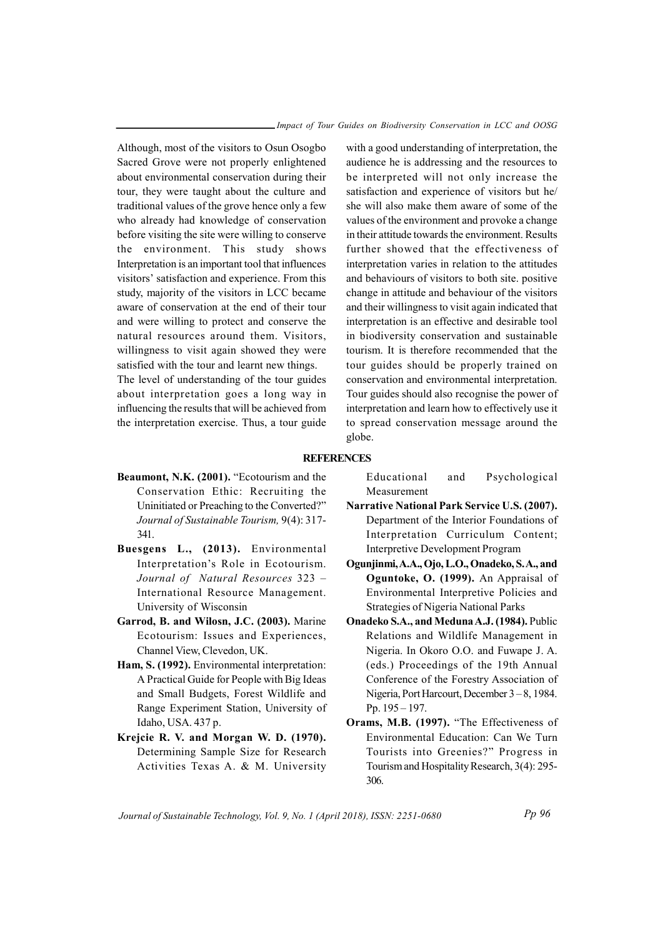Although, most of the visitors to Osun Osogbo Sacred Grove were not properly enlightened about environmental conservation during their tour, they were taught about the culture and traditional values of the grove hence only a few who already had knowledge of conservation before visiting the site were willing to conserve the environment. This study shows Interpretation is an important tool that influences visitors' satisfaction and experience. From this study, majority of the visitors in LCC became aware of conservation at the end of their tour and were willing to protect and conserve the natural resources around them. Visitors, willingness to visit again showed they were satisfied with the tour and learnt new things.

The level of understanding of the tour guides about interpretation goes a long way in influencing the results that will be achieved from the interpretation exercise. Thus, a tour guide

with a good understanding of interpretation, the audience he is addressing and the resources to be interpreted will not only increase the satisfaction and experience of visitors but he/ she will also make them aware of some of the values of the environment and provoke a change in their attitude towards the environment. Results further showed that the effectiveness of interpretation varies in relation to the attitudes and behaviours of visitors to both site. positive change in attitude and behaviour of the visitors and their willingness to visit again indicated that interpretation is an effective and desirable tool in biodiversity conservation and sustainable tourism. It is therefore recommended that the tour guides should be properly trained on conservation and environmental interpretation. Tour guides should also recognise the power of interpretation and learn how to effectively use it to spread conservation message around the globe.

#### **REFERENCES**

- Beaumont, N.K. (2001). "Ecotourism and the Conservation Ethic: Recruiting the Uninitiated or Preaching to the Converted?" Journal of Sustainable Tourism, 9(4): 317- 341.
- Buesgens L., (2013). Environmental Interpretation's Role in Ecotourism. Journal of Natural Resources 323 – International Resource Management. University of Wisconsin
- Garrod, B. and Wilosn, J.C. (2003). Marine Ecotourism: Issues and Experiences, Channel View, Clevedon, UK.
- Ham, S. (1992). Environmental interpretation: A Practical Guide for People with Big Ideas and Small Budgets, Forest Wildlife and Range Experiment Station, University of Idaho, USA. 437 p.
- Krejcie R. V. and Morgan W. D. (1970). Determining Sample Size for Research Activities Texas A. & M. University

Educational and Psychological Measurement

- Narrative National Park Service U.S. (2007). Department of the Interior Foundations of Interpretation Curriculum Content; Interpretive Development Program
- Ogunjinmi, A.A., Ojo, L.O., Onadeko, S. A., and Oguntoke, O. (1999). An Appraisal of Environmental Interpretive Policies and Strategies of Nigeria National Parks
- Onadeko S.A., and Meduna A.J. (1984). Public Relations and Wildlife Management in Nigeria. In Okoro O.O. and Fuwape J. A. (eds.) Proceedings of the 19th Annual Conference of the Forestry Association of Nigeria, Port Harcourt, December 3 – 8, 1984. Pp. 195 – 197.
- Orams, M.B. (1997). "The Effectiveness of Environmental Education: Can We Turn Tourists into Greenies?" Progress in Tourism and Hospitality Research, 3(4): 295- 306.

Journal of Sustainable Technology, Vol. 9, No. 1 (April 2018), ISSN: 2251-0680